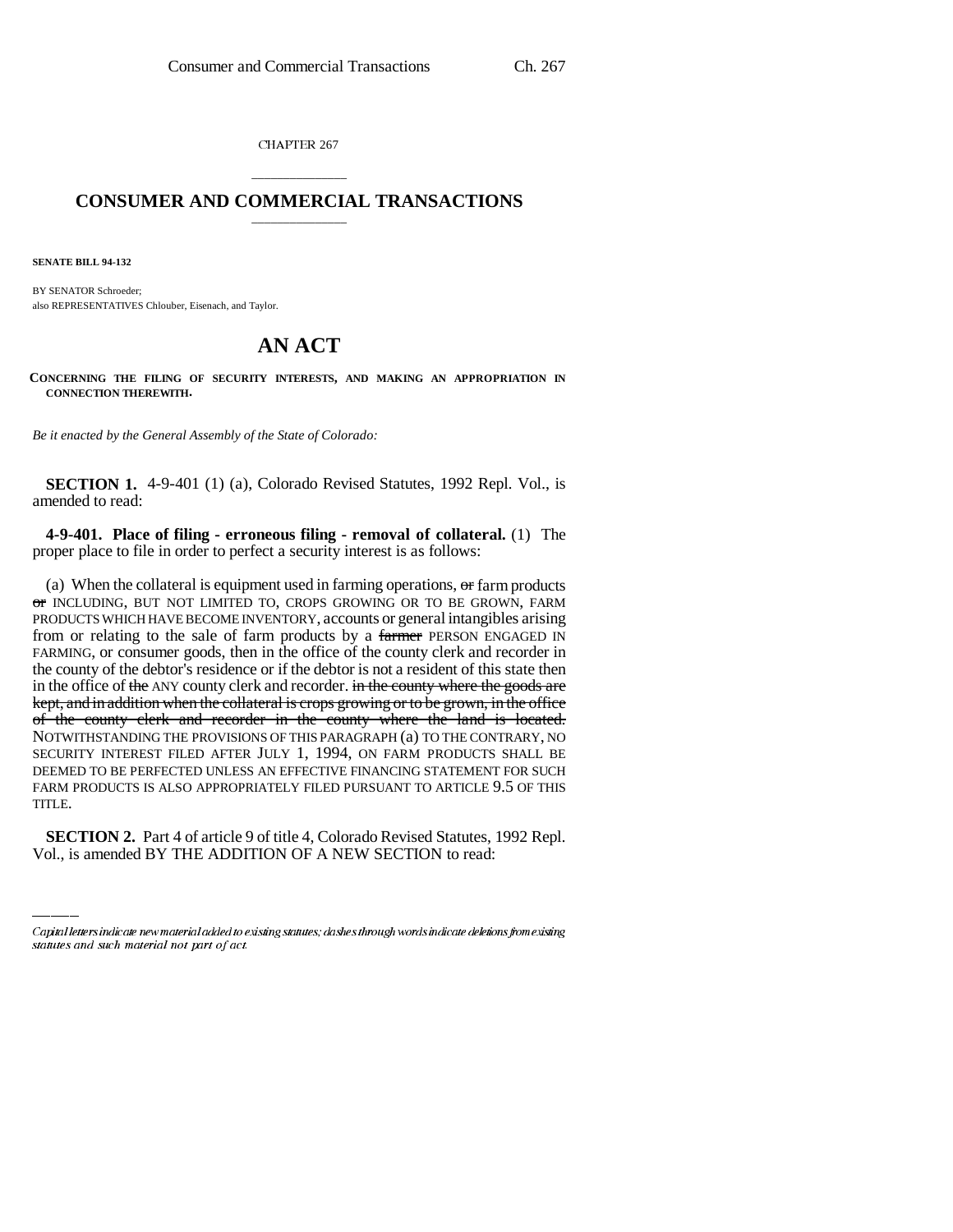CHAPTER 267

## \_\_\_\_\_\_\_\_\_\_\_\_\_\_\_ **CONSUMER AND COMMERCIAL TRANSACTIONS** \_\_\_\_\_\_\_\_\_\_\_\_\_\_\_

**SENATE BILL 94-132**

BY SENATOR Schroeder; also REPRESENTATIVES Chlouber, Eisenach, and Taylor.

## **AN ACT**

**CONCERNING THE FILING OF SECURITY INTERESTS, AND MAKING AN APPROPRIATION IN CONNECTION THEREWITH.**

*Be it enacted by the General Assembly of the State of Colorado:*

**SECTION 1.** 4-9-401 (1) (a), Colorado Revised Statutes, 1992 Repl. Vol., is amended to read:

**4-9-401. Place of filing - erroneous filing - removal of collateral.** (1) The proper place to file in order to perfect a security interest is as follows:

........<br>TITLE. (a) When the collateral is equipment used in farming operations,  $\sigma$  farm products or INCLUDING, BUT NOT LIMITED TO, CROPS GROWING OR TO BE GROWN, FARM PRODUCTS WHICH HAVE BECOME INVENTORY, accounts or general intangibles arising from or relating to the sale of farm products by a farmer PERSON ENGAGED IN FARMING, or consumer goods, then in the office of the county clerk and recorder in the county of the debtor's residence or if the debtor is not a resident of this state then in the office of the ANY county clerk and recorder. in the county where the goods are kept, and in addition when the collateral is crops growing or to be grown, in the office of the county clerk and recorder in the county where the land is located. NOTWITHSTANDING THE PROVISIONS OF THIS PARAGRAPH (a) TO THE CONTRARY, NO SECURITY INTEREST FILED AFTER JULY 1, 1994, ON FARM PRODUCTS SHALL BE DEEMED TO BE PERFECTED UNLESS AN EFFECTIVE FINANCING STATEMENT FOR SUCH FARM PRODUCTS IS ALSO APPROPRIATELY FILED PURSUANT TO ARTICLE 9.5 OF THIS

**SECTION 2.** Part 4 of article 9 of title 4, Colorado Revised Statutes, 1992 Repl. Vol., is amended BY THE ADDITION OF A NEW SECTION to read:

Capital letters indicate new material added to existing statutes; dashes through words indicate deletions from existing statutes and such material not part of act.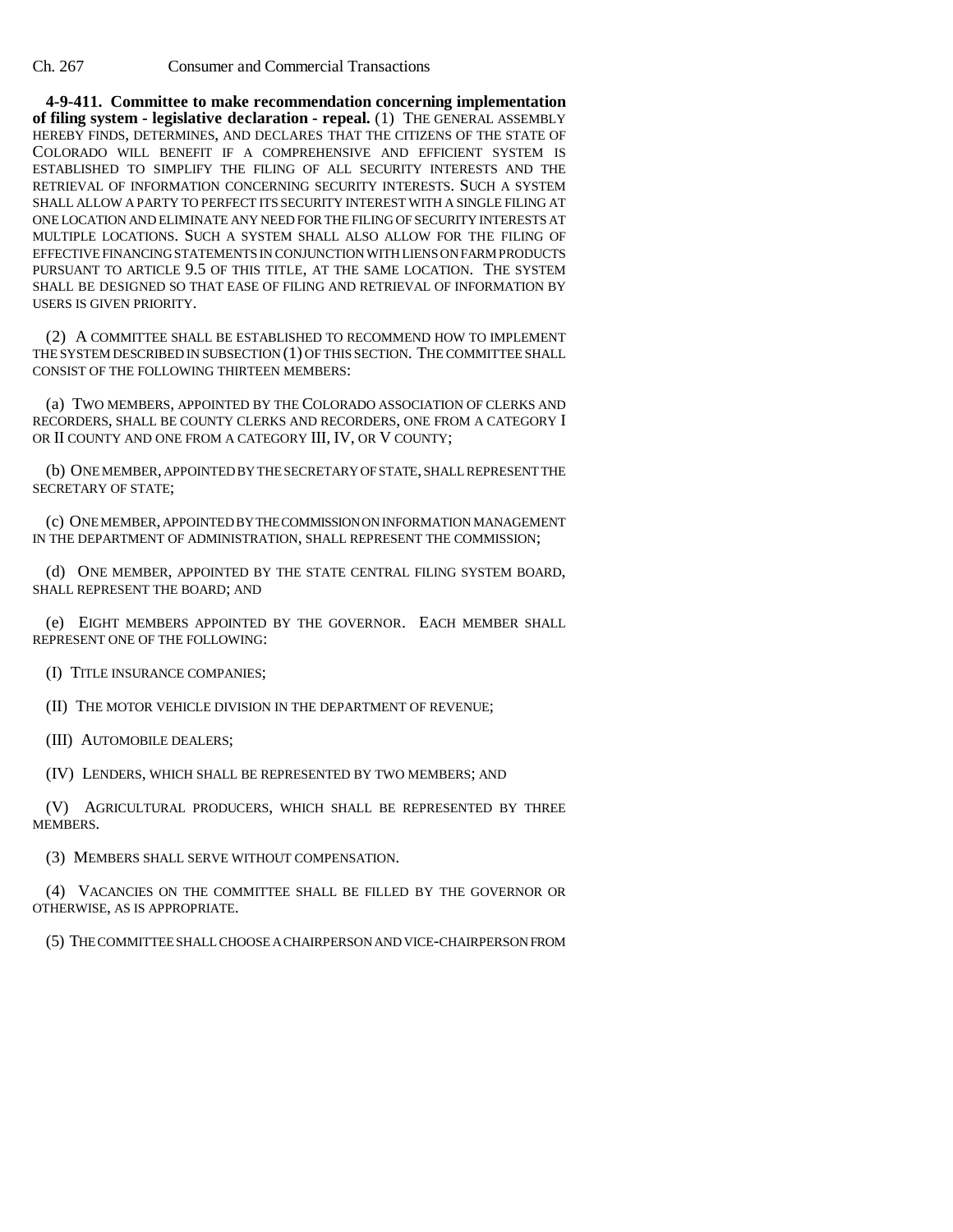Ch. 267 Consumer and Commercial Transactions

**4-9-411. Committee to make recommendation concerning implementation of filing system - legislative declaration - repeal.** (1) THE GENERAL ASSEMBLY HEREBY FINDS, DETERMINES, AND DECLARES THAT THE CITIZENS OF THE STATE OF COLORADO WILL BENEFIT IF A COMPREHENSIVE AND EFFICIENT SYSTEM IS ESTABLISHED TO SIMPLIFY THE FILING OF ALL SECURITY INTERESTS AND THE RETRIEVAL OF INFORMATION CONCERNING SECURITY INTERESTS. SUCH A SYSTEM SHALL ALLOW A PARTY TO PERFECT ITS SECURITY INTEREST WITH A SINGLE FILING AT ONE LOCATION AND ELIMINATE ANY NEED FOR THE FILING OF SECURITY INTERESTS AT MULTIPLE LOCATIONS. SUCH A SYSTEM SHALL ALSO ALLOW FOR THE FILING OF EFFECTIVE FINANCING STATEMENTS IN CONJUNCTION WITH LIENS ON FARM PRODUCTS PURSUANT TO ARTICLE 9.5 OF THIS TITLE, AT THE SAME LOCATION. THE SYSTEM SHALL BE DESIGNED SO THAT EASE OF FILING AND RETRIEVAL OF INFORMATION BY USERS IS GIVEN PRIORITY.

(2) A COMMITTEE SHALL BE ESTABLISHED TO RECOMMEND HOW TO IMPLEMENT THE SYSTEM DESCRIBED IN SUBSECTION (1) OF THIS SECTION. THE COMMITTEE SHALL CONSIST OF THE FOLLOWING THIRTEEN MEMBERS:

(a) TWO MEMBERS, APPOINTED BY THE COLORADO ASSOCIATION OF CLERKS AND RECORDERS, SHALL BE COUNTY CLERKS AND RECORDERS, ONE FROM A CATEGORY I OR II COUNTY AND ONE FROM A CATEGORY III, IV, OR V COUNTY;

(b) ONE MEMBER, APPOINTED BY THE SECRETARY OF STATE, SHALL REPRESENT THE SECRETARY OF STATE;

(c) ONE MEMBER, APPOINTED BY THE COMMISSION ON INFORMATION MANAGEMENT IN THE DEPARTMENT OF ADMINISTRATION, SHALL REPRESENT THE COMMISSION;

(d) ONE MEMBER, APPOINTED BY THE STATE CENTRAL FILING SYSTEM BOARD, SHALL REPRESENT THE BOARD; AND

(e) EIGHT MEMBERS APPOINTED BY THE GOVERNOR. EACH MEMBER SHALL REPRESENT ONE OF THE FOLLOWING:

(I) TITLE INSURANCE COMPANIES;

(II) THE MOTOR VEHICLE DIVISION IN THE DEPARTMENT OF REVENUE;

(III) AUTOMOBILE DEALERS;

(IV) LENDERS, WHICH SHALL BE REPRESENTED BY TWO MEMBERS; AND

(V) AGRICULTURAL PRODUCERS, WHICH SHALL BE REPRESENTED BY THREE MEMBERS.

(3) MEMBERS SHALL SERVE WITHOUT COMPENSATION.

(4) VACANCIES ON THE COMMITTEE SHALL BE FILLED BY THE GOVERNOR OR OTHERWISE, AS IS APPROPRIATE.

(5) THE COMMITTEE SHALL CHOOSE A CHAIRPERSON AND VICE-CHAIRPERSON FROM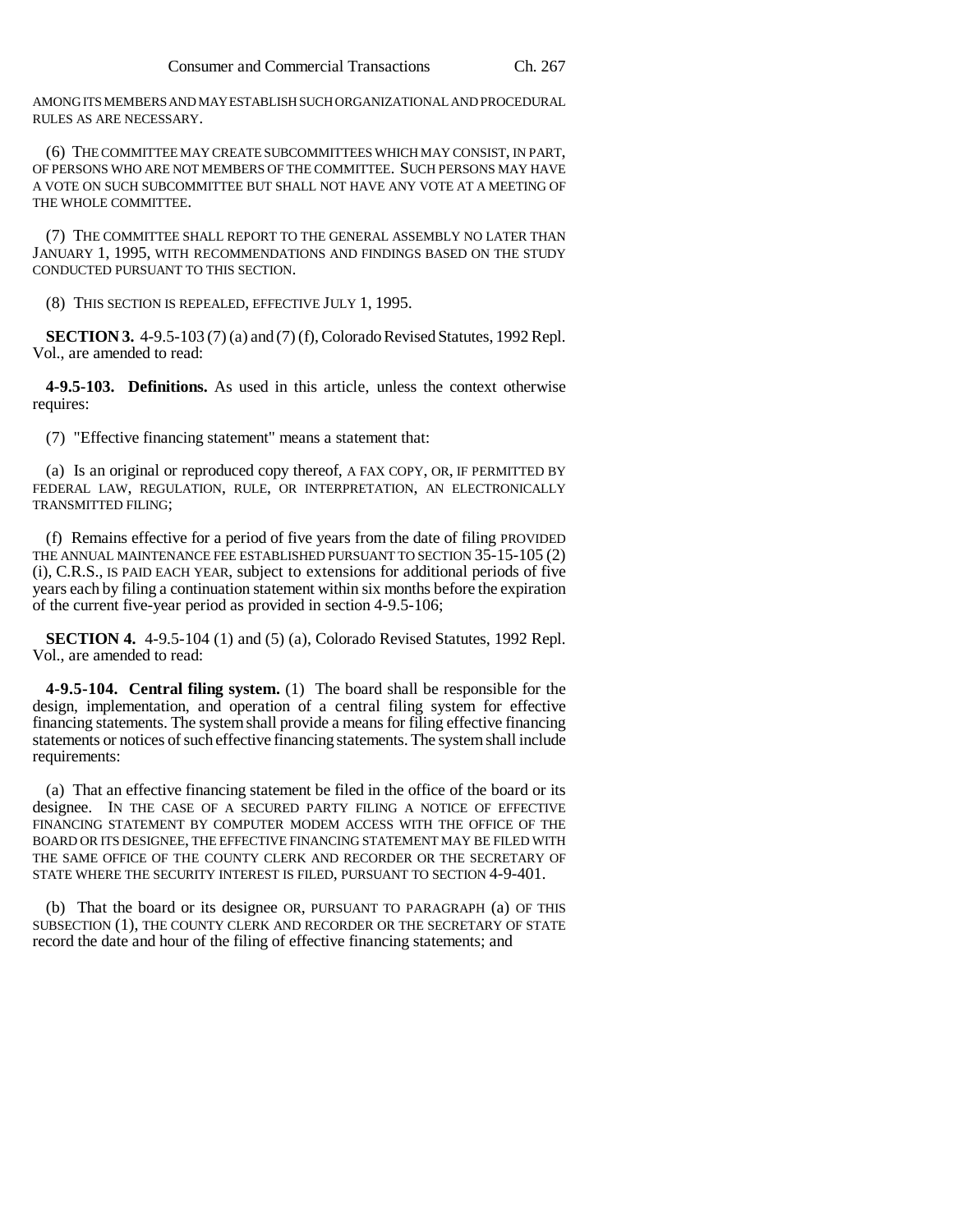AMONG ITS MEMBERS AND MAY ESTABLISH SUCH ORGANIZATIONAL AND PROCEDURAL RULES AS ARE NECESSARY.

(6) THE COMMITTEE MAY CREATE SUBCOMMITTEES WHICH MAY CONSIST, IN PART, OF PERSONS WHO ARE NOT MEMBERS OF THE COMMITTEE. SUCH PERSONS MAY HAVE A VOTE ON SUCH SUBCOMMITTEE BUT SHALL NOT HAVE ANY VOTE AT A MEETING OF THE WHOLE COMMITTEE.

(7) THE COMMITTEE SHALL REPORT TO THE GENERAL ASSEMBLY NO LATER THAN JANUARY 1, 1995, WITH RECOMMENDATIONS AND FINDINGS BASED ON THE STUDY CONDUCTED PURSUANT TO THIS SECTION.

(8) THIS SECTION IS REPEALED, EFFECTIVE JULY 1, 1995.

**SECTION 3.** 4-9.5-103 (7) (a) and (7) (f), Colorado Revised Statutes, 1992 Repl. Vol., are amended to read:

**4-9.5-103. Definitions.** As used in this article, unless the context otherwise requires:

(7) "Effective financing statement" means a statement that:

(a) Is an original or reproduced copy thereof, A FAX COPY, OR, IF PERMITTED BY FEDERAL LAW, REGULATION, RULE, OR INTERPRETATION, AN ELECTRONICALLY TRANSMITTED FILING;

(f) Remains effective for a period of five years from the date of filing PROVIDED THE ANNUAL MAINTENANCE FEE ESTABLISHED PURSUANT TO SECTION 35-15-105 (2) (i), C.R.S., IS PAID EACH YEAR, subject to extensions for additional periods of five years each by filing a continuation statement within six months before the expiration of the current five-year period as provided in section 4-9.5-106;

**SECTION 4.** 4-9.5-104 (1) and (5) (a), Colorado Revised Statutes, 1992 Repl. Vol., are amended to read:

**4-9.5-104. Central filing system.** (1) The board shall be responsible for the design, implementation, and operation of a central filing system for effective financing statements. The system shall provide a means for filing effective financing statements or notices of such effective financing statements. The system shall include requirements:

(a) That an effective financing statement be filed in the office of the board or its designee. IN THE CASE OF A SECURED PARTY FILING A NOTICE OF EFFECTIVE FINANCING STATEMENT BY COMPUTER MODEM ACCESS WITH THE OFFICE OF THE BOARD OR ITS DESIGNEE, THE EFFECTIVE FINANCING STATEMENT MAY BE FILED WITH THE SAME OFFICE OF THE COUNTY CLERK AND RECORDER OR THE SECRETARY OF STATE WHERE THE SECURITY INTEREST IS FILED, PURSUANT TO SECTION 4-9-401.

(b) That the board or its designee OR, PURSUANT TO PARAGRAPH (a) OF THIS SUBSECTION (1), THE COUNTY CLERK AND RECORDER OR THE SECRETARY OF STATE record the date and hour of the filing of effective financing statements; and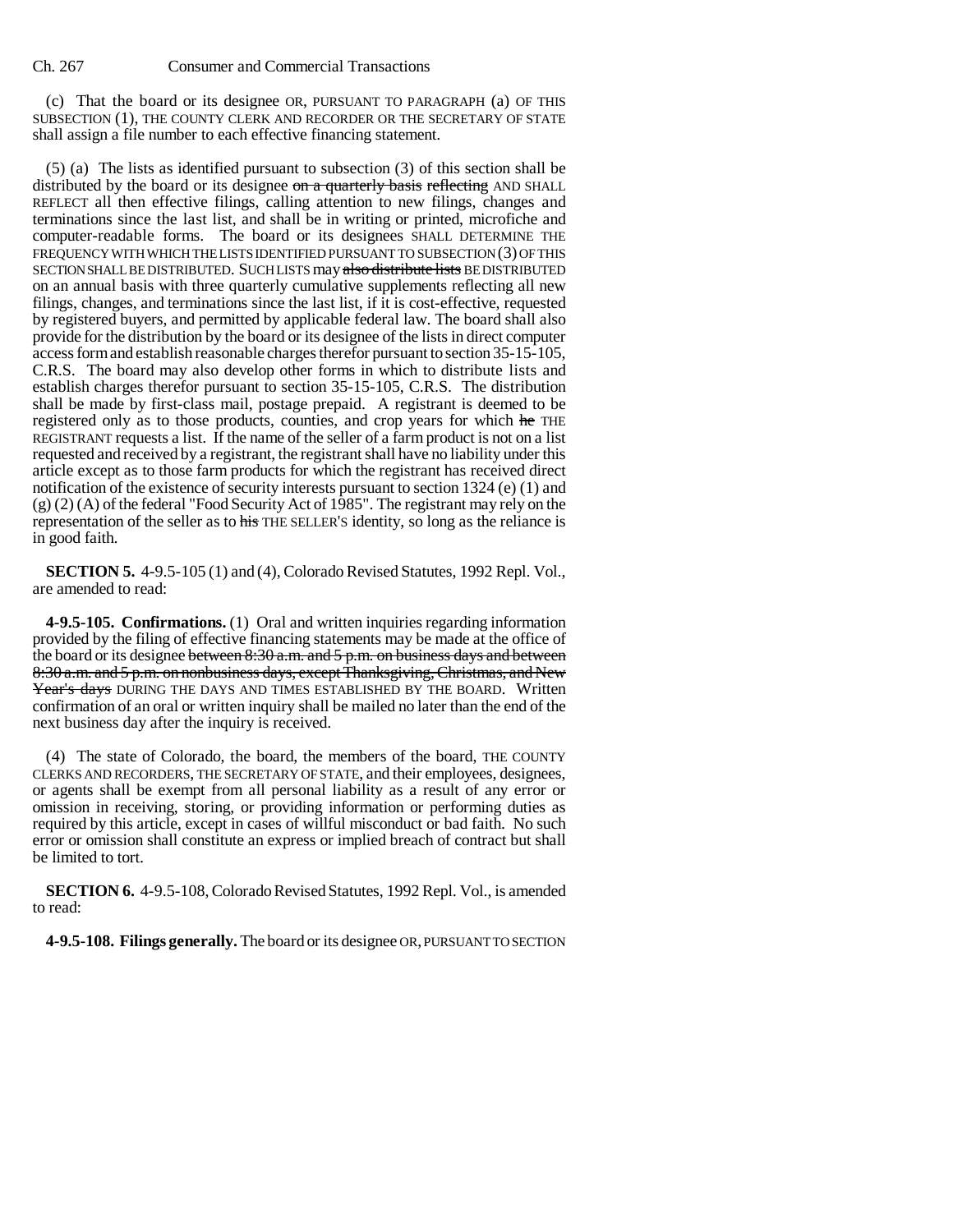(c) That the board or its designee OR, PURSUANT TO PARAGRAPH (a) OF THIS SUBSECTION (1), THE COUNTY CLERK AND RECORDER OR THE SECRETARY OF STATE shall assign a file number to each effective financing statement.

(5) (a) The lists as identified pursuant to subsection (3) of this section shall be distributed by the board or its designee on a quarterly basis reflecting AND SHALL REFLECT all then effective filings, calling attention to new filings, changes and terminations since the last list, and shall be in writing or printed, microfiche and computer-readable forms. The board or its designees SHALL DETERMINE THE FREQUENCY WITH WHICH THE LISTS IDENTIFIED PURSUANT TO SUBSECTION (3) OF THIS SECTION SHALL BE DISTRIBUTED. SUCH LISTS may also distribute lists BE DISTRIBUTED on an annual basis with three quarterly cumulative supplements reflecting all new filings, changes, and terminations since the last list, if it is cost-effective, requested by registered buyers, and permitted by applicable federal law. The board shall also provide for the distribution by the board or its designee of the lists in direct computer access form and establish reasonable charges therefor pursuant to section 35-15-105, C.R.S. The board may also develop other forms in which to distribute lists and establish charges therefor pursuant to section 35-15-105, C.R.S. The distribution shall be made by first-class mail, postage prepaid. A registrant is deemed to be registered only as to those products, counties, and crop years for which he THE REGISTRANT requests a list. If the name of the seller of a farm product is not on a list requested and received by a registrant, the registrant shall have no liability under this article except as to those farm products for which the registrant has received direct notification of the existence of security interests pursuant to section 1324 (e) (1) and (g) (2) (A) of the federal "Food Security Act of 1985". The registrant may rely on the representation of the seller as to his THE SELLER'S identity, so long as the reliance is in good faith.

**SECTION 5.** 4-9.5-105 (1) and (4), Colorado Revised Statutes, 1992 Repl. Vol., are amended to read:

**4-9.5-105. Confirmations.** (1) Oral and written inquiries regarding information provided by the filing of effective financing statements may be made at the office of the board or its designee between  $8:30$  a.m. and  $5$  p.m. on business days and between 8:30 a.m. and 5 p.m. on nonbusiness days, except Thanksgiving, Christmas, and New Year's days DURING THE DAYS AND TIMES ESTABLISHED BY THE BOARD. Written confirmation of an oral or written inquiry shall be mailed no later than the end of the next business day after the inquiry is received.

(4) The state of Colorado, the board, the members of the board, THE COUNTY CLERKS AND RECORDERS, THE SECRETARY OF STATE, and their employees, designees, or agents shall be exempt from all personal liability as a result of any error or omission in receiving, storing, or providing information or performing duties as required by this article, except in cases of willful misconduct or bad faith. No such error or omission shall constitute an express or implied breach of contract but shall be limited to tort.

**SECTION 6.** 4-9.5-108, Colorado Revised Statutes, 1992 Repl. Vol., is amended to read:

**4-9.5-108. Filings generally.** The board or its designee OR, PURSUANT TO SECTION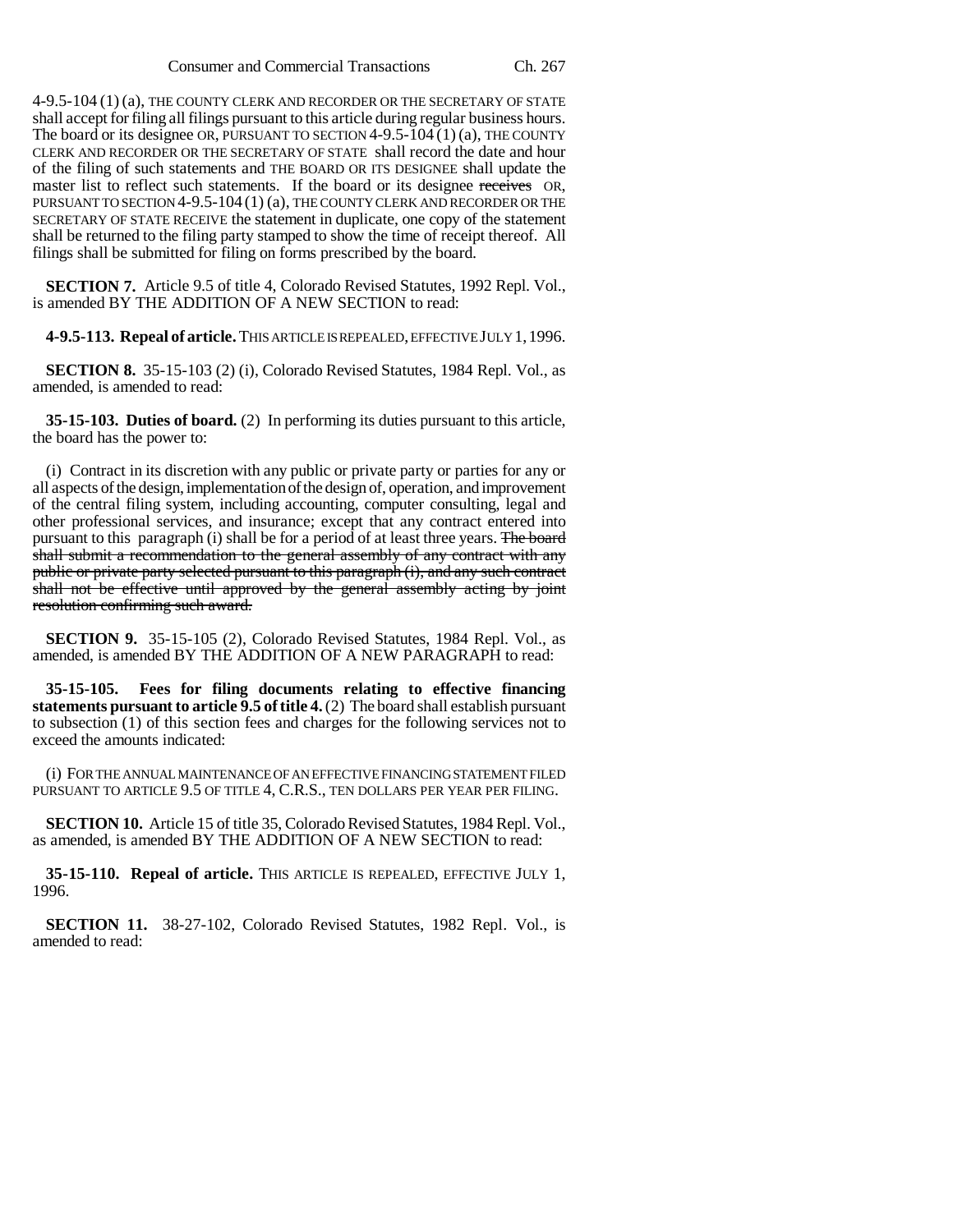4-9.5-104 (1) (a), THE COUNTY CLERK AND RECORDER OR THE SECRETARY OF STATE shall accept for filing all filings pursuant to this article during regular business hours. The board or its designee OR, PURSUANT TO SECTION  $4-9.5-104(1)(a)$ , THE COUNTY CLERK AND RECORDER OR THE SECRETARY OF STATE shall record the date and hour of the filing of such statements and THE BOARD OR ITS DESIGNEE shall update the master list to reflect such statements. If the board or its designee receives OR, PURSUANT TO SECTION 4-9.5-104 (1) (a), THE COUNTY CLERK AND RECORDER OR THE SECRETARY OF STATE RECEIVE the statement in duplicate, one copy of the statement shall be returned to the filing party stamped to show the time of receipt thereof. All filings shall be submitted for filing on forms prescribed by the board.

**SECTION 7.** Article 9.5 of title 4, Colorado Revised Statutes, 1992 Repl. Vol., is amended BY THE ADDITION OF A NEW SECTION to read:

**4-9.5-113. Repeal of article.** THIS ARTICLE IS REPEALED, EFFECTIVE JULY 1,1996.

**SECTION 8.** 35-15-103 (2) (i), Colorado Revised Statutes, 1984 Repl. Vol., as amended, is amended to read:

**35-15-103. Duties of board.** (2) In performing its duties pursuant to this article, the board has the power to:

(i) Contract in its discretion with any public or private party or parties for any or all aspects of the design, implementation of the design of, operation, and improvement of the central filing system, including accounting, computer consulting, legal and other professional services, and insurance; except that any contract entered into pursuant to this paragraph (i) shall be for a period of at least three years. The board shall submit a recommendation to the general assembly of any contract with any public or private party selected pursuant to this paragraph (i), and any such contract shall not be effective until approved by the general assembly acting by joint resolution confirming such award.

**SECTION 9.** 35-15-105 (2), Colorado Revised Statutes, 1984 Repl. Vol., as amended, is amended BY THE ADDITION OF A NEW PARAGRAPH to read:

**35-15-105. Fees for filing documents relating to effective financing statements pursuant to article 9.5 of title 4.** (2) The board shall establish pursuant to subsection (1) of this section fees and charges for the following services not to exceed the amounts indicated:

(i) FOR THE ANNUAL MAINTENANCE OF AN EFFECTIVE FINANCING STATEMENT FILED PURSUANT TO ARTICLE 9.5 OF TITLE 4, C.R.S., TEN DOLLARS PER YEAR PER FILING.

**SECTION 10.** Article 15 of title 35, Colorado Revised Statutes, 1984 Repl. Vol., as amended, is amended BY THE ADDITION OF A NEW SECTION to read:

**35-15-110. Repeal of article.** THIS ARTICLE IS REPEALED, EFFECTIVE JULY 1, 1996.

**SECTION 11.** 38-27-102, Colorado Revised Statutes, 1982 Repl. Vol., is amended to read: